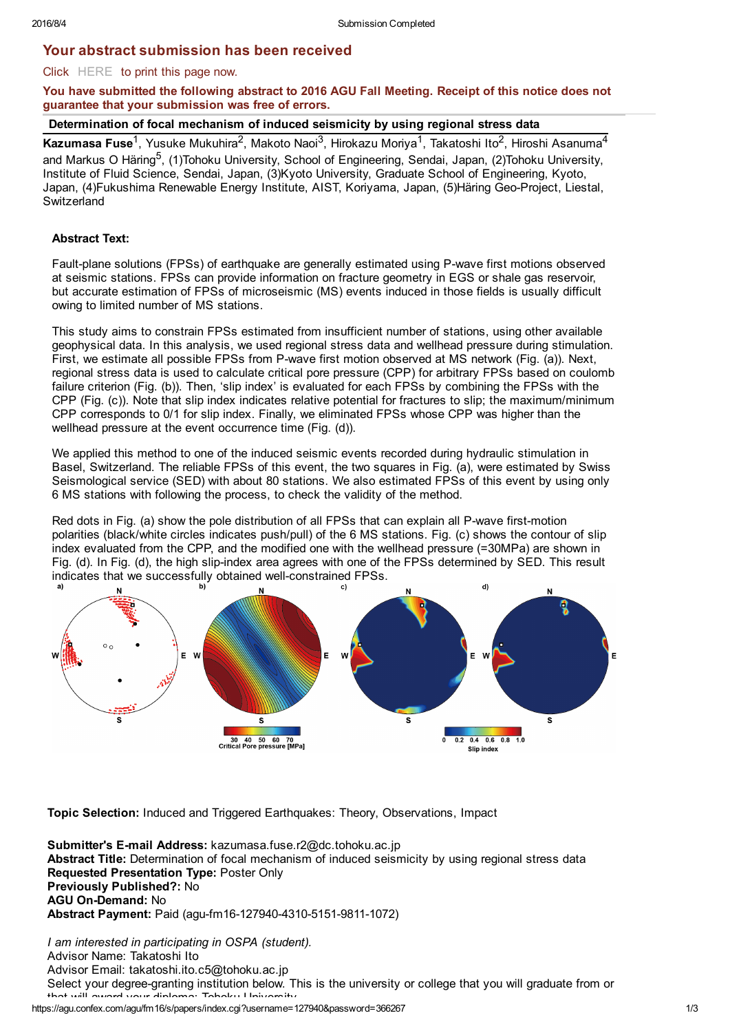# Your abstract submission has been received

# Click HERE to print this page now.

You have submitted the following abstract to 2016 AGU Fall Meeting. Receipt of this notice does not guarantee that your submission was free of errors.

Kazumasa Fuse<sup>1</sup>, Yusuke Mukuhira<sup>2</sup>, Makoto Naoi<sup>3</sup>, Hirokazu Moriya<sup>1</sup>, Takatoshi Ito<sup>2</sup>, Hiroshi Asanuma<sup>4</sup> and Markus O Häring<sup>5</sup>, (1)Tohoku University, School of Engineering, Sendai, Japan, (2)Tohoku University, Institute of Fluid Science, Sendai, Japan, (3)Kyoto University, Graduate School of Engineering, Kyoto, Japan, (4)Fukushima Renewable Energy Institute, AIST, Koriyama, Japan, (5)Häring Geo-Project, Liestal, **Switzerland** 

# Abstract Text:

Fault-plane solutions (FPSs) of earthquake are generally estimated using P-wave first motions observed at seismic stations. FPSs can provide information on fracture geometry in EGS or shale gas reservoir, but accurate estimation of FPSs of microseismic (MS) events induced in those fields is usually difficult owing to limited number of MS stations.

This study aims to constrain FPSs estimated from insufficient number of stations, using other available geophysical data. In this analysis, we used regional stress data and wellhead pressure during stimulation. First, we estimate all possible FPSs from P-wave first motion observed at MS network (Fig. (a)). Next, regional stress data is used to calculate critical pore pressure (CPP) for arbitrary FPSs based on coulomb failure criterion (Fig. (b)). Then, 'slip index' is evaluated for each FPSs by combining the FPSs with the CPP (Fig. (c)). Note that slip index indicates relative potential for fractures to slip; the maximum/minimum CPP corresponds to 0/1 for slip index. Finally, we eliminated FPSs whose CPP was higher than the wellhead pressure at the event occurrence time (Fig. (d)).

We applied this method to one of the induced seismic events recorded during hydraulic stimulation in Basel, Switzerland. The reliable FPSs of this event, the two squares in Fig. (a), were estimated by Swiss Seismological service (SED) with about 80 stations. We also estimated FPSs of this event by using only 6 MS stations with following the process, to check the validity of the method.

Red dots in Fig. (a) show the pole distribution of all FPSs that can explain all P-wave first-motion polarities (black/white circles indicates push/pull) of the 6 MS stations. Fig. (c) shows the contour of slip index evaluated from the CPP, and the modified one with the wellhead pressure (=30MPa) are shown in Fig. (d). In Fig. (d), the high slip-index area agrees with one of the FPSs determined by SED. This result indicates that we successfully obtained well-constrained FPSs.



Topic Selection: Induced and Triggered Earthquakes: Theory, Observations, Impact

Submitter's E-mail Address: kazumasa.fuse.r2@dc.tohoku.ac.jp Abstract Title: Determination of focal mechanism of induced seismicity by using regional stress data Requested Presentation Type: Poster Only Previously Published?: No AGU On-Demand: No Abstract Payment: Paid (agu-fm16-127940-4310-5151-9811-1072)

*I am interested in participating in OSPA (student).* Advisor Name: Takatoshi Ito Advisor Email: takatoshi.ito.c5@tohoku.ac.jp Select your degree-granting institution below. This is the university or college that you will graduate from or that will award your diploma: Tohoku University

https://agu.confex.com/agu/fm16/s/papers/index.cgi?username=127940&password=366267 1/3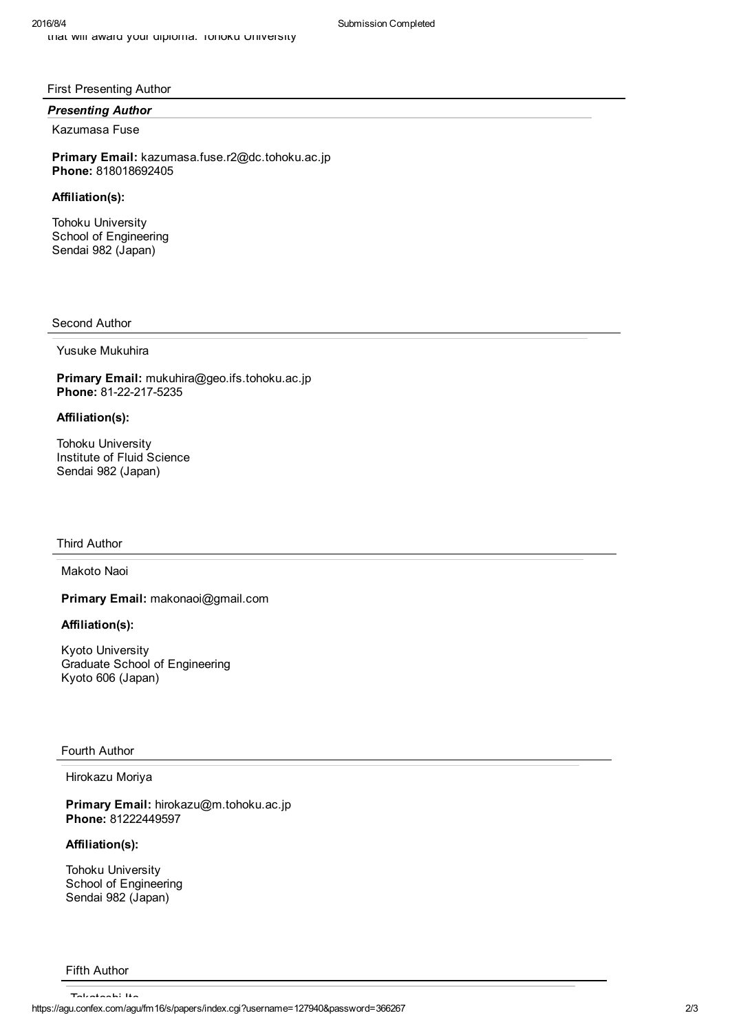# First Presenting Author

### *Presenting Author*

### Kazumasa Fuse

Primary Email: kazumasa.fuse.r2@dc.tohoku.ac.jp Phone: 818018692405

# Affiliation(s):

Tohoku University School of Engineering Sendai 982 (Japan)

### Second Author

Yusuke Mukuhira

Primary Email: mukuhira@geo.ifs.tohoku.ac.jp Phone: 81-22-217-5235

# Affiliation(s):

Tohoku University Institute of Fluid Science Sendai 982 (Japan)

#### Third Author

Makoto Naoi

Primary Email: makonaoi@gmail.com

# Affiliation(s):

Kyoto University Graduate School of Engineering Kyoto 606 (Japan)

#### Fourth Author

Hirokazu Moriya

Primary Email: hirokazu@m.tohoku.ac.jp Phone: 81222449597

# Affiliation(s):

Tohoku University School of Engineering Sendai 982 (Japan)

#### Fifth Author

https://agu.confex.com/agu/fm16/s/papers/index.cgi?username=127940&password=366267 2/3 Takatoshi Ito